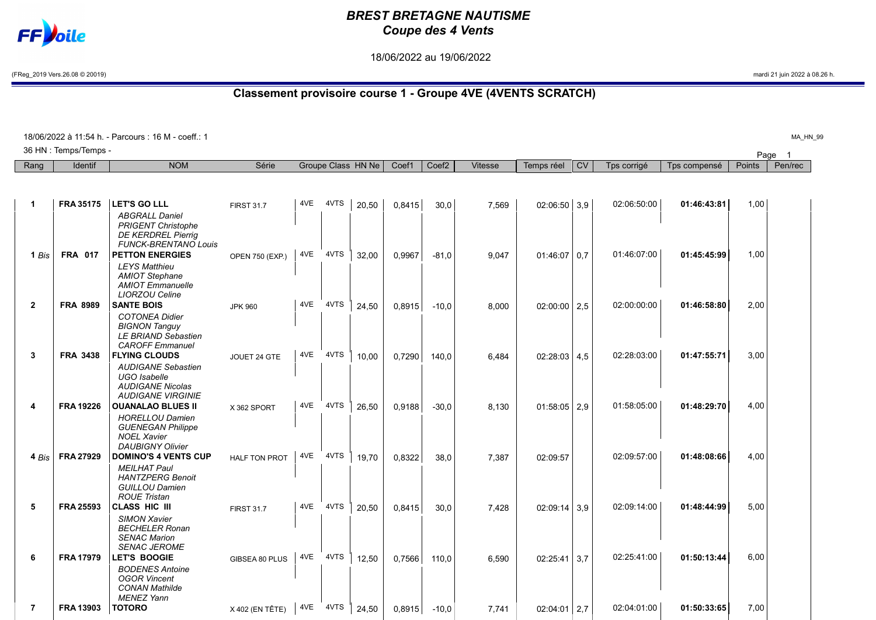## BREST BRETAGNE NAUTISME Coupe des 4 Vents

18/06/2022 au 19/06/2022

(FReg\_2019 Vers.26.08 © 20019) mardi 21 juin 2022 à 08.26 h.

## Classement provisoire course 1 - Groupe 4VE (4VENTS SCRATCH)

| 18/06/2022 à 11:54 h. - Parcours : 16 M - coeff.: 1 |                  |                                                        |                      |     |      |                    |        |                   |                |                |           |             |              | MA HM       |         |  |
|-----------------------------------------------------|------------------|--------------------------------------------------------|----------------------|-----|------|--------------------|--------|-------------------|----------------|----------------|-----------|-------------|--------------|-------------|---------|--|
| 36 HN : Temps/Temps -                               |                  |                                                        |                      |     |      |                    |        |                   |                |                |           |             |              | Page<br>- 1 |         |  |
| Rang                                                | Identif          | <b>NOM</b>                                             | Série                |     |      | Groupe Class HN Ne | Coef1  | Coef <sub>2</sub> | <b>Vitesse</b> | Temps réel     | <b>CV</b> | Tps corrigé | Tps compensé | Points      | Pen/rec |  |
|                                                     |                  |                                                        |                      |     |      |                    |        |                   |                |                |           |             |              |             |         |  |
|                                                     |                  |                                                        |                      |     |      |                    |        |                   |                |                |           |             |              |             |         |  |
| $\mathbf{1}$                                        | <b>FRA 35175</b> | <b>LET'S GO LLL</b>                                    | <b>FIRST 31.7</b>    | 4VE | 4VTS | 20,50              | 0,8415 | 30,0              | 7,569          | $02:06:50$ 3,9 |           | 02:06:50:00 | 01:46:43:81  | 1,00        |         |  |
|                                                     |                  | <b>ABGRALL Daniel</b>                                  |                      |     |      |                    |        |                   |                |                |           |             |              |             |         |  |
|                                                     |                  | <b>PRIGENT Christophe</b><br><b>DE KERDREL Pierrig</b> |                      |     |      |                    |        |                   |                |                |           |             |              |             |         |  |
|                                                     |                  | <b>FUNCK-BRENTANO Louis</b>                            |                      |     |      |                    |        |                   |                |                |           |             |              |             |         |  |
| 1 Bis                                               | <b>FRA 017</b>   | <b>PETTON ENERGIES</b>                                 | OPEN 750 (EXP.)      | 4VE | 4VTS | 32,00              | 0,9967 | $-81.0$           | 9,047          | $01:46:07$ 0.7 |           | 01:46:07:00 | 01:45:45:99  | 1,00        |         |  |
|                                                     |                  | <b>LEYS Matthieu</b>                                   |                      |     |      |                    |        |                   |                |                |           |             |              |             |         |  |
|                                                     |                  | <b>AMIOT Stephane</b>                                  |                      |     |      |                    |        |                   |                |                |           |             |              |             |         |  |
|                                                     |                  | <b>AMIOT</b> Emmanuelle<br><b>LIORZOU Celine</b>       |                      |     |      |                    |        |                   |                |                |           |             |              |             |         |  |
| $\overline{2}$                                      | <b>FRA 8989</b>  | <b>SANTE BOIS</b>                                      | <b>JPK 960</b>       | 4VE | 4VTS | 24,50              | 0,8915 | $-10.0$           | 8,000          | $02:00:00$ 2,5 |           | 02:00:00:00 | 01:46:58:80  | 2,00        |         |  |
|                                                     |                  | <b>COTONEA Didier</b>                                  |                      |     |      |                    |        |                   |                |                |           |             |              |             |         |  |
|                                                     |                  | <b>BIGNON Tanguy</b>                                   |                      |     |      |                    |        |                   |                |                |           |             |              |             |         |  |
|                                                     |                  | LE BRIAND Sebastien<br><b>CAROFF</b> Emmanuel          |                      |     |      |                    |        |                   |                |                |           |             |              |             |         |  |
| 3                                                   | <b>FRA 3438</b>  | <b>FLYING CLOUDS</b>                                   | JOUET 24 GTE         | 4VE | 4VTS | 10.00              | 0.7290 | 140.0             | 6,484          | $02:28:03$ 4.5 |           | 02:28:03:00 | 01:47:55:71  | 3,00        |         |  |
|                                                     |                  | <b>AUDIGANE Sebastien</b>                              |                      |     |      |                    |        |                   |                |                |           |             |              |             |         |  |
|                                                     |                  | <b>UGO</b> Isabelle                                    |                      |     |      |                    |        |                   |                |                |           |             |              |             |         |  |
|                                                     |                  | <b>AUDIGANE Nicolas</b>                                |                      |     |      |                    |        |                   |                |                |           |             |              |             |         |  |
| 4                                                   | <b>FRA 19226</b> | <b>AUDIGANE VIRGINIE</b><br><b>OUANALAO BLUES II</b>   |                      | 4VE | 4VTS |                    |        |                   |                |                |           | 01:58:05:00 | 01:48:29:70  | 4,00        |         |  |
|                                                     |                  | <b>HORELLOU Damien</b>                                 | X 362 SPORT          |     |      | 26,50              | 0,9188 | $-30,0$           | 8,130          | $01:58:05$ 2,9 |           |             |              |             |         |  |
|                                                     |                  | <b>GUENEGAN Philippe</b>                               |                      |     |      |                    |        |                   |                |                |           |             |              |             |         |  |
|                                                     |                  | <b>NOEL Xavier</b>                                     |                      |     |      |                    |        |                   |                |                |           |             |              |             |         |  |
|                                                     |                  | <b>DAUBIGNY Olivier</b>                                |                      |     |      |                    |        |                   |                |                |           |             |              |             |         |  |
| 4 Bis                                               | <b>FRA 27929</b> | <b>DOMINO'S 4 VENTS CUP</b>                            | <b>HALF TON PROT</b> | 4VE | 4VTS | 19,70              | 0.8322 | 38,0              | 7,387          | 02:09:57       |           | 02:09:57:00 | 01:48:08:66  | 4,00        |         |  |
|                                                     |                  | <b>MEILHAT Paul</b><br><b>HANTZPERG Benoit</b>         |                      |     |      |                    |        |                   |                |                |           |             |              |             |         |  |
|                                                     |                  | <b>GUILLOU Damien</b>                                  |                      |     |      |                    |        |                   |                |                |           |             |              |             |         |  |
|                                                     |                  | <b>ROUE Tristan</b>                                    |                      |     |      |                    |        |                   |                |                |           |             |              |             |         |  |
| 5                                                   | <b>FRA 25593</b> | <b>CLASS HIC III</b>                                   | <b>FIRST 31.7</b>    | 4VE | 4VTS | 20,50              | 0,8415 | 30,0              | 7,428          | $02:09:14$ 3.9 |           | 02:09:14:00 | 01:48:44:99  | 5,00        |         |  |
|                                                     |                  | <b>SIMON Xavier</b><br><b>BECHELER Ronan</b>           |                      |     |      |                    |        |                   |                |                |           |             |              |             |         |  |
|                                                     |                  | <b>SENAC Marion</b>                                    |                      |     |      |                    |        |                   |                |                |           |             |              |             |         |  |
|                                                     |                  | <b>SENAC JEROME</b>                                    |                      |     |      |                    |        |                   |                |                |           |             |              |             |         |  |
| 6                                                   | <b>FRA 17979</b> | <b>LET'S BOOGIE</b>                                    | GIBSEA 80 PLUS       | 4VE | 4VTS | 12,50              | 0,7566 | 110,0             | 6,590          | $02:25:41$ 3,7 |           | 02:25:41:00 | 01:50:13:44  | 6,00        |         |  |
|                                                     |                  | <b>BODENES Antoine</b>                                 |                      |     |      |                    |        |                   |                |                |           |             |              |             |         |  |
|                                                     |                  | <b>OGOR Vincent</b><br><b>CONAN Mathilde</b>           |                      |     |      |                    |        |                   |                |                |           |             |              |             |         |  |
|                                                     |                  | <b>MENEZ Yann</b>                                      |                      |     |      |                    |        |                   |                |                |           |             |              |             |         |  |
| $\overline{7}$                                      | <b>FRA 13903</b> | <b>TOTORO</b>                                          | X 402 (EN TÊTE)      | 4VE | 4VTS | 24,50              | 0,8915 | $-10,0$           | 7.741          | $02:04:01$ 2.7 |           | 02:04:01:00 | 01:50:33:65  | 7,00        |         |  |



 $HN_99$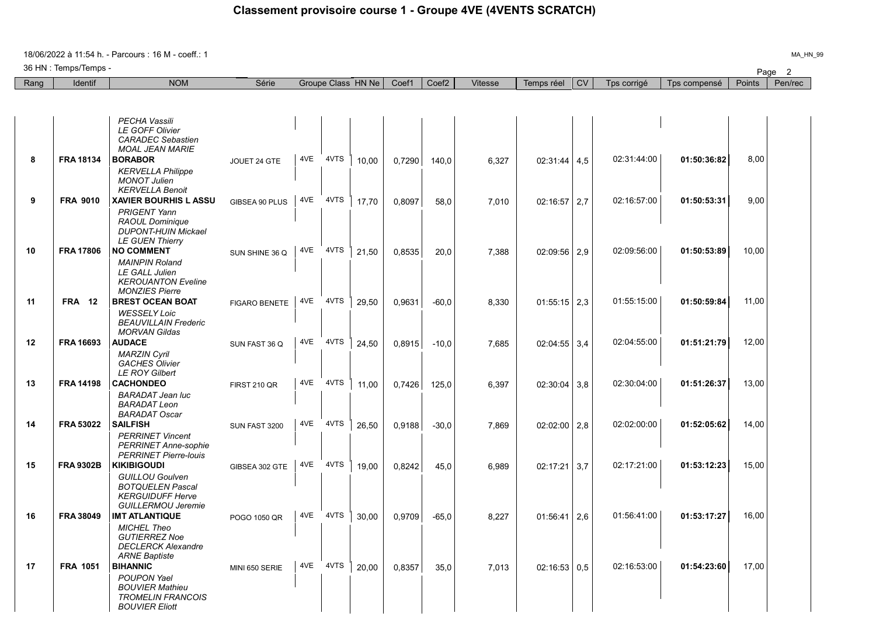18/06/2022 à 11:54 h. - Parcours : 16 M - coeff.: 1

36 HN : Temps/Temps -

| Rang | Identif          | <b>NOM</b>                                                                                                | Série                |     |      | Groupe Class HN Ne | Coef1  | Coef <sub>2</sub> | <b>Vitesse</b> | Temps réel       | <b>CV</b> | Tps corrigé | Tps compensé | Points | Pen/rec |
|------|------------------|-----------------------------------------------------------------------------------------------------------|----------------------|-----|------|--------------------|--------|-------------------|----------------|------------------|-----------|-------------|--------------|--------|---------|
|      |                  |                                                                                                           |                      |     |      |                    |        |                   |                |                  |           |             |              |        |         |
|      |                  |                                                                                                           |                      |     |      |                    |        |                   |                |                  |           |             |              |        |         |
|      |                  | <b>PECHA Vassili</b><br>LE GOFF Olivier<br><b>CARADEC</b> Sebastien<br><b>MOAL JEAN MARIE</b>             |                      |     |      |                    |        |                   |                |                  |           |             |              |        |         |
| 8    | <b>FRA 18134</b> | <b>BORABOR</b>                                                                                            | JOUET 24 GTE         | 4VE | 4VTS | 10,00              | 0,7290 | 140,0             | 6,327          | 02:31:44         | 4,5       | 02:31:44:00 | 01:50:36:82  | 8,00   |         |
|      |                  | <b>KERVELLA Philippe</b><br><b>MONOT Julien</b><br><b>KERVELLA Benoit</b>                                 |                      |     |      |                    |        |                   |                |                  |           |             |              |        |         |
| 9    | <b>FRA 9010</b>  | <b>XAVIER BOURHIS L ASSU</b>                                                                              | GIBSEA 90 PLUS       | 4VE | 4VTS | 17.70              | 0,8097 | 58,0              | 7,010          | 02:16:57         | 2,7       | 02:16:57:00 | 01:50:53:31  | 9,00   |         |
|      |                  | <b>PRIGENT Yann</b><br>RAOUL Dominique<br><b>DUPONT-HUIN Mickael</b><br><b>LE GUEN Thierry</b>            |                      |     |      |                    |        |                   |                |                  |           |             |              |        |         |
| 10   | <b>FRA 17806</b> | <b>NO COMMENT</b>                                                                                         | SUN SHINE 36 Q       | 4VE | 4VTS | 21,50              | 0,8535 | 20,0              | 7,388          | $02:09:56$   2,9 |           | 02:09:56:00 | 01:50:53:89  | 10,00  |         |
|      |                  | <b>MAINPIN Roland</b><br><b>LE GALL Julien</b><br><b>KEROUANTON Eveline</b><br><b>MONZIES Pierre</b>      |                      |     |      |                    |        |                   |                |                  |           |             |              |        |         |
| 11   | <b>FRA 12</b>    | <b>BREST OCEAN BOAT</b>                                                                                   | <b>FIGARO BENETE</b> | 4VE | 4VTS | 29.50              | 0.9631 | $-60,0$           | 8.330          | $01:55:15$ 2,3   |           | 01:55:15:00 | 01:50:59:84  | 11,00  |         |
|      |                  | <b>WESSELY Loic</b><br><b>BEAUVILLAIN Frederic</b><br><b>MORVAN Gildas</b>                                |                      |     |      |                    |        |                   |                |                  |           |             |              |        |         |
| 12   | FRA 16693        | <b>AUDACE</b>                                                                                             | SUN FAST 36 Q        | 4VE | 4VTS | 24,50              | 0,8915 | $-10,0$           | 7.685          | $02:04:55$ 3,4   |           | 02:04:55:00 | 01:51:21:79  | 12,00  |         |
|      |                  | <b>MARZIN Cyril</b><br><b>GACHES Olivier</b><br><b>LE ROY Gilbert</b>                                     |                      |     |      |                    |        |                   |                |                  |           |             |              |        |         |
| 13   | <b>FRA 14198</b> | <b>CACHONDEO</b>                                                                                          | <b>FIRST 210 QR</b>  | 4VE | 4VTS | 11.00              | 0.7426 | 125.0             | 6.397          | 02:30:04         | 3.8       | 02:30:04:00 | 01:51:26:37  | 13,00  |         |
|      |                  | <b>BARADAT Jean luc</b><br><b>BARADAT Leon</b><br><b>BARADAT Oscar</b>                                    |                      |     |      |                    |        |                   |                |                  |           |             |              |        |         |
| 14   | <b>FRA 53022</b> | <b>SAILFISH</b>                                                                                           | SUN FAST 3200        | 4VE | 4VTS | 26,50              | 0,9188 | $-30,0$           | 7.869          | $02:02:00$   2,8 |           | 02:02:00:00 | 01:52:05:62  | 14,00  |         |
|      |                  | <b>PERRINET Vincent</b><br><b>PERRINET Anne-sophie</b><br><b>PERRINET Pierre-louis</b>                    |                      |     |      |                    |        |                   |                |                  |           |             |              |        |         |
| 15   | <b>FRA 9302B</b> | <b>KIKIBIGOUDI</b>                                                                                        | GIBSEA 302 GTE       | 4VE | 4VTS | 19.00              | 0.8242 | 45.0              | 6.989          | 02:17:21         | 3.7       | 02:17:21:00 | 01:53:12:23  | 15,00  |         |
|      |                  | <b>GUILLOU Goulven</b><br><b>BOTQUELEN Pascal</b><br><b>KERGUIDUFF Herve</b><br><b>GUILLERMOU Jeremie</b> |                      |     |      |                    |        |                   |                |                  |           |             |              |        |         |
| 16   | <b>FRA 38049</b> | <b>IMT ATLANTIQUE</b>                                                                                     | POGO 1050 QR         | 4VE | 4VTS | 30.00              | 0,9709 | $-65,0$           | 8.227          | $01:56:41$ 2.6   |           | 01:56:41:00 | 01:53:17:27  | 16,00  |         |
|      |                  | <b>MICHEL Theo</b><br><b>GUTIERREZ Noe</b><br><b>DECLERCK Alexandre</b><br><b>ARNE Baptiste</b>           |                      |     |      |                    |        |                   |                |                  |           |             |              |        |         |
| 17   | <b>FRA 1051</b>  | <b>BIHANNIC</b>                                                                                           | MINI 650 SERIE       | 4VE | 4VTS | 20,00              | 0,8357 | 35,0              | 7,013          | 02:16:53         | 0,5       | 02:16:53:00 | 01:54:23:60  | 17,00  |         |
|      |                  | POUPON Yael<br><b>BOUVIER Mathieu</b><br><b>TROMELIN FRANCOIS</b><br><b>BOUVIER Eliott</b>                |                      |     |      |                    |        |                   |                |                  |           |             |              |        |         |

MA\_HN\_99

Page 2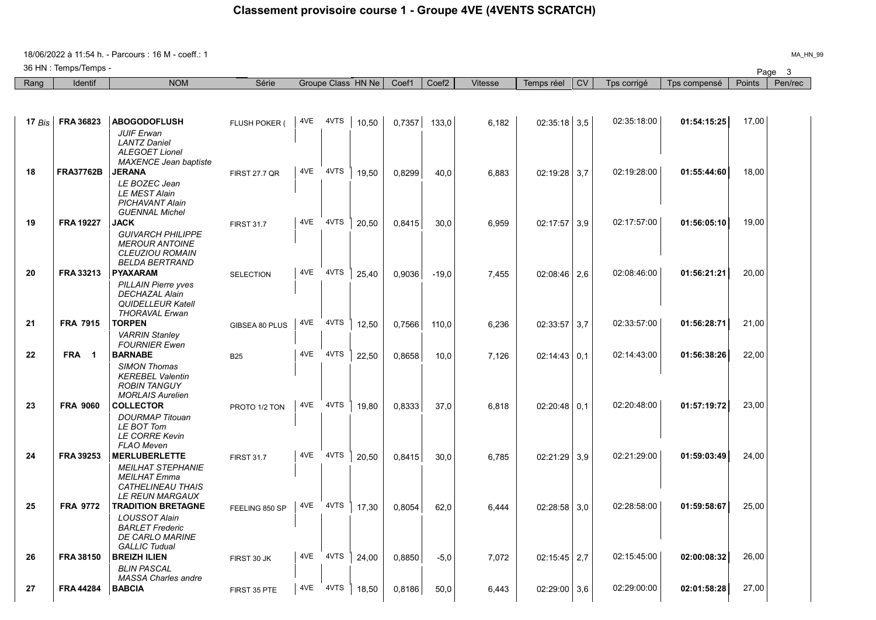## Classement provisoire course 1 - Groupe 4VE (4VENTS SCRATCH)

18/06/2022 à 11:54 h. - Parcours : 16 M - coeff.: 1

36 HN : Temps/Temps -

|          | 36 HN : Temps/Temps - |                                                                                                                          |                      |     |      |                    |        |                   |                |                  |           |             |              |        | Page 3  |
|----------|-----------------------|--------------------------------------------------------------------------------------------------------------------------|----------------------|-----|------|--------------------|--------|-------------------|----------------|------------------|-----------|-------------|--------------|--------|---------|
| Rang     | Identif               | <b>NOM</b>                                                                                                               | Série                |     |      | Groupe Class HN Ne | Coef1  | Coef <sub>2</sub> | <b>Vitesse</b> | Temps réel       | <b>CV</b> | Tps corrigé | Tps compensé | Points | Pen/rec |
|          |                       |                                                                                                                          |                      |     |      |                    |        |                   |                |                  |           |             |              |        |         |
| 17 $Bis$ | <b>FRA 36823</b>      | <b>ABOGODOFLUSH</b>                                                                                                      | FLUSH POKER (        | 4VE | 4VTS | 10,50              | 0,7357 | 133.0             | 6.182          | $02:35:18$ 3.5   |           | 02:35:18:00 | 01:54:15:25  | 17,00  |         |
|          |                       | <b>JUIF Erwan</b><br><b>LANTZ Daniel</b><br><b>ALEGOET Lionel</b><br><b>MAXENCE Jean baptiste</b>                        |                      |     |      |                    |        |                   |                |                  |           |             |              |        |         |
| 18       | <b>FRA37762B</b>      | <b>JERANA</b><br>LE BOZEC Jean<br><b>LE MEST Alain</b><br><b>PICHAVANT Alain</b><br><b>GUENNAL Michel</b>                | <b>FIRST 27.7 QR</b> | 4VE | 4VTS | 19.50              | 0,8299 | 40,0              | 6,883          | 02:19:28         | 3,7       | 02:19:28:00 | 01:55:44:60  | 18,00  |         |
| 19       | <b>FRA 19227</b>      | JACK<br><b>GUIVARCH PHILIPPE</b><br><b>MEROUR ANTOINE</b><br><b>CLEUZIOU ROMAIN</b>                                      | <b>FIRST 31.7</b>    | 4VE | 4VTS | 20.50              | 0,8415 | 30,0              | 6.959          | 02:17:57         | 3.9       | 02:17:57:00 | 01:56:05:10  | 19,00  |         |
| 20       | <b>FRA 33213</b>      | <b>BELDA BERTRAND</b><br>PYAXARAM<br><b>PILLAIN Pierre yves</b><br><b>DECHAZAL Alain</b>                                 | <b>SELECTION</b>     | 4VE | 4VTS | 25.40              | 0.9036 | $-19,0$           | 7.455          | $02:08:46$   2.6 |           | 02:08:46:00 | 01:56:21:21  | 20,00  |         |
| 21       | <b>FRA 7915</b>       | <b>QUIDELLEUR Katell</b><br><b>THORAVAL Erwan</b><br><b>TORPEN</b><br><b>VARRIN Stanley</b>                              | GIBSEA 80 PLUS       | 4VE | 4VTS | 12,50              | 0,7566 | 110,0             | 6,236          | 02:33:57         | 3,7       | 02:33:57:00 | 01:56:28:71  | 21,00  |         |
| 22       | FRA 1                 | <b>FOURNIER Ewen</b><br><b>BARNABE</b><br>SIMON Thomas                                                                   | <b>B25</b>           | 4VE | 4VTS | 22,50              | 0,8658 | 10,0              | 7,126          | $02:14:43$   0.1 |           | 02:14:43:00 | 01:56:38:26  | 22,00  |         |
| 23       | <b>FRA 9060</b>       | <b>KEREBEL Valentin</b><br><b>ROBIN TANGUY</b><br><b>MORLAIS Aurelien</b><br>COLLECTOR                                   | PROTO 1/2 TON        | 4VE | 4VTS | 19,80              | 0,8333 | 37,0              | 6,818          | $02:20:48$ 0.1   |           | 02:20:48:00 | 01:57:19:72  | 23,00  |         |
|          |                       | <b>DOURMAP</b> Titouan<br>LE BOT Tom<br><b>LE CORRE Kevin</b><br><b>FLAO Meven</b>                                       |                      |     |      |                    |        |                   |                |                  |           |             |              |        |         |
| 24       | FRA 39253             | <b>MERLUBERLETTE</b><br><b>MEILHAT STEPHANIE</b><br><b>MEILHAT Emma</b><br>CATHELINEAU THAIS                             | <b>FIRST 31.7</b>    | 4VE | 4VTS | 20,50              | 0,8415 | 30,0              | 6,785          | 02:21:29         | 3.9       | 02:21:29:00 | 01:59:03:49  | 24,00  |         |
| 25       | <b>FRA 9772</b>       | <b>LE REUN MARGAUX</b><br>TRADITION BRETAGNE<br><b>LOUSSOT Alain</b><br><b>BARLET Frederic</b><br><b>DE CARLO MARINE</b> | FEELING 850 SP       | 4VE | 4VTS | 17,30              | 0,8054 | 62,0              | 6,444          | 02:28:58         | 3,0       | 02:28:58:00 | 01:59:58:67  | 25,00  |         |
| 26       | <b>FRA 38150</b>      | <b>GALLIC Tudual</b><br><b>BREIZH ILIEN</b><br><b>BLIN PASCAL</b><br><b>MASSA Charles andre</b>                          | FIRST 30 JK          | 4VE | 4VTS | 24,00              | 0,8850 | $-5,0$            | 7,072          | $02:15:45$ 2.7   |           | 02:15:45:00 | 02:00:08:32  | 26,00  |         |
| 27       | <b>FRA 44284</b>      | <b>BABCIA</b>                                                                                                            | FIRST 35 PTE         | 4VE | 4VTS | 18.50              | 0,8186 | 50,0              | 6.443          | $02:29:00$ 3,6   |           | 02:29:00:00 | 02:01:58:28  | 27,00  |         |

MA\_HN\_99